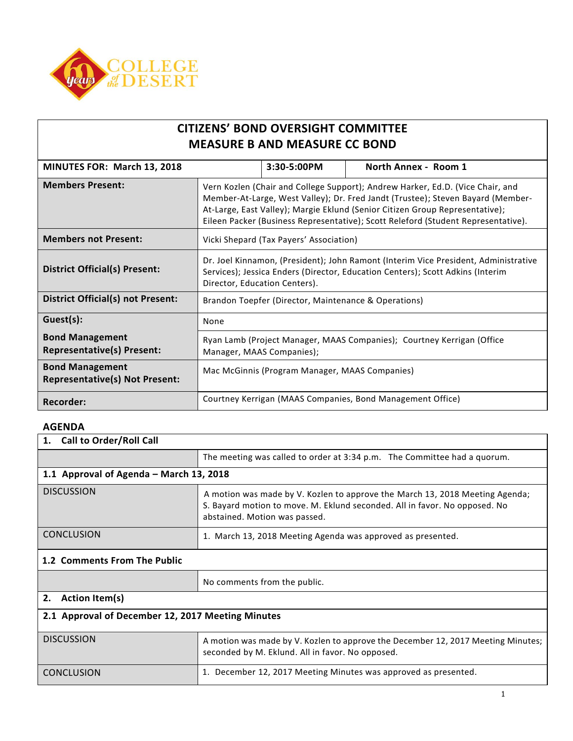

| <b>CITIZENS' BOND OVERSIGHT COMMITTEE</b> |
|-------------------------------------------|
| <b>MEASURE B AND MEASURE CC BOND</b>      |

| MINUTES FOR: March 13, 2018                                     | 3:30-5:00PM<br>North Annex - Room 1                                                                                                                                                                                                                                                                                                    |  |  |  |
|-----------------------------------------------------------------|----------------------------------------------------------------------------------------------------------------------------------------------------------------------------------------------------------------------------------------------------------------------------------------------------------------------------------------|--|--|--|
| <b>Members Present:</b>                                         | Vern Kozlen (Chair and College Support); Andrew Harker, Ed.D. (Vice Chair, and<br>Member-At-Large, West Valley); Dr. Fred Jandt (Trustee); Steven Bayard (Member-<br>At-Large, East Valley); Margie Eklund (Senior Citizen Group Representative);<br>Eileen Packer (Business Representative); Scott Releford (Student Representative). |  |  |  |
| <b>Members not Present:</b>                                     | Vicki Shepard (Tax Payers' Association)                                                                                                                                                                                                                                                                                                |  |  |  |
| <b>District Official(s) Present:</b>                            | Dr. Joel Kinnamon, (President); John Ramont (Interim Vice President, Administrative<br>Services); Jessica Enders (Director, Education Centers); Scott Adkins (Interim<br>Director, Education Centers).                                                                                                                                 |  |  |  |
| <b>District Official(s) not Present:</b>                        | Brandon Toepfer (Director, Maintenance & Operations)                                                                                                                                                                                                                                                                                   |  |  |  |
| Guest(s):                                                       | None                                                                                                                                                                                                                                                                                                                                   |  |  |  |
| <b>Bond Management</b><br><b>Representative(s) Present:</b>     | Ryan Lamb (Project Manager, MAAS Companies); Courtney Kerrigan (Office<br>Manager, MAAS Companies);                                                                                                                                                                                                                                    |  |  |  |
| <b>Bond Management</b><br><b>Representative(s) Not Present:</b> | Mac McGinnis (Program Manager, MAAS Companies)                                                                                                                                                                                                                                                                                         |  |  |  |
| <b>Recorder:</b>                                                | Courtney Kerrigan (MAAS Companies, Bond Management Office)                                                                                                                                                                                                                                                                             |  |  |  |

## **AGENDA**

| <b>Call to Order/Roll Call</b><br>1.              |                                                                                                                                                                                             |  |  |  |
|---------------------------------------------------|---------------------------------------------------------------------------------------------------------------------------------------------------------------------------------------------|--|--|--|
|                                                   | The meeting was called to order at 3:34 p.m. The Committee had a quorum.                                                                                                                    |  |  |  |
| 1.1 Approval of Agenda – March 13, 2018           |                                                                                                                                                                                             |  |  |  |
| <b>DISCUSSION</b>                                 | A motion was made by V. Kozlen to approve the March 13, 2018 Meeting Agenda;<br>S. Bayard motion to move. M. Eklund seconded. All in favor. No opposed. No<br>abstained. Motion was passed. |  |  |  |
| <b>CONCLUSION</b>                                 | 1. March 13, 2018 Meeting Agenda was approved as presented.                                                                                                                                 |  |  |  |
| 1.2 Comments From The Public                      |                                                                                                                                                                                             |  |  |  |
|                                                   | No comments from the public.                                                                                                                                                                |  |  |  |
| <b>Action Item(s)</b><br>2.                       |                                                                                                                                                                                             |  |  |  |
| 2.1 Approval of December 12, 2017 Meeting Minutes |                                                                                                                                                                                             |  |  |  |
| <b>DISCUSSION</b>                                 | A motion was made by V. Kozlen to approve the December 12, 2017 Meeting Minutes;<br>seconded by M. Eklund. All in favor. No opposed.                                                        |  |  |  |
| <b>CONCLUSION</b>                                 | 1. December 12, 2017 Meeting Minutes was approved as presented.                                                                                                                             |  |  |  |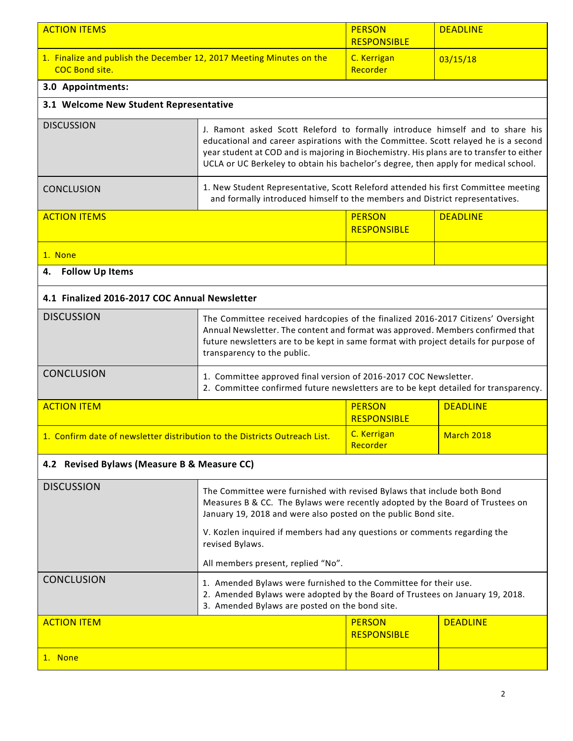| <b>ACTION ITEMS</b>                                                                           |                                                                                                                                                                                                                                                                                                                                                         | <b>PERSON</b><br><b>RESPONSIBLE</b> | <b>DEADLINE</b>   |  |
|-----------------------------------------------------------------------------------------------|---------------------------------------------------------------------------------------------------------------------------------------------------------------------------------------------------------------------------------------------------------------------------------------------------------------------------------------------------------|-------------------------------------|-------------------|--|
| 1. Finalize and publish the December 12, 2017 Meeting Minutes on the<br><b>COC Bond site.</b> |                                                                                                                                                                                                                                                                                                                                                         | C. Kerrigan<br>Recorder             | 03/15/18          |  |
| 3.0 Appointments:                                                                             |                                                                                                                                                                                                                                                                                                                                                         |                                     |                   |  |
| 3.1 Welcome New Student Representative                                                        |                                                                                                                                                                                                                                                                                                                                                         |                                     |                   |  |
| <b>DISCUSSION</b>                                                                             | J. Ramont asked Scott Releford to formally introduce himself and to share his<br>educational and career aspirations with the Committee. Scott relayed he is a second<br>year student at COD and is majoring in Biochemistry. His plans are to transfer to either<br>UCLA or UC Berkeley to obtain his bachelor's degree, then apply for medical school. |                                     |                   |  |
| <b>CONCLUSION</b>                                                                             | 1. New Student Representative, Scott Releford attended his first Committee meeting<br>and formally introduced himself to the members and District representatives.                                                                                                                                                                                      |                                     |                   |  |
| <b>ACTION ITEMS</b>                                                                           |                                                                                                                                                                                                                                                                                                                                                         | <b>PERSON</b><br><b>RESPONSIBLE</b> | <b>DEADLINE</b>   |  |
| 1. None                                                                                       |                                                                                                                                                                                                                                                                                                                                                         |                                     |                   |  |
| <b>Follow Up Items</b><br>4.                                                                  |                                                                                                                                                                                                                                                                                                                                                         |                                     |                   |  |
| 4.1 Finalized 2016-2017 COC Annual Newsletter                                                 |                                                                                                                                                                                                                                                                                                                                                         |                                     |                   |  |
| <b>DISCUSSION</b>                                                                             | The Committee received hardcopies of the finalized 2016-2017 Citizens' Oversight<br>Annual Newsletter. The content and format was approved. Members confirmed that<br>future newsletters are to be kept in same format with project details for purpose of<br>transparency to the public.                                                               |                                     |                   |  |
| <b>CONCLUSION</b>                                                                             | 1. Committee approved final version of 2016-2017 COC Newsletter.<br>2. Committee confirmed future newsletters are to be kept detailed for transparency.                                                                                                                                                                                                 |                                     |                   |  |
| <b>ACTION ITEM</b>                                                                            | <b>PERSON</b><br><b>RESPONSIBLE</b>                                                                                                                                                                                                                                                                                                                     | <b>DEADLINE</b>                     |                   |  |
| 1. Confirm date of newsletter distribution to the Districts Outreach List.                    |                                                                                                                                                                                                                                                                                                                                                         | C. Kerrigan<br>Recorder             | <b>March 2018</b> |  |
| 4.2 Revised Bylaws (Measure B & Measure CC)                                                   |                                                                                                                                                                                                                                                                                                                                                         |                                     |                   |  |
| <b>DISCUSSION</b>                                                                             | The Committee were furnished with revised Bylaws that include both Bond<br>Measures B & CC. The Bylaws were recently adopted by the Board of Trustees on<br>January 19, 2018 and were also posted on the public Bond site.                                                                                                                              |                                     |                   |  |
|                                                                                               | V. Kozlen inquired if members had any questions or comments regarding the<br>revised Bylaws.                                                                                                                                                                                                                                                            |                                     |                   |  |
|                                                                                               | All members present, replied "No".                                                                                                                                                                                                                                                                                                                      |                                     |                   |  |
| <b>CONCLUSION</b>                                                                             | 1. Amended Bylaws were furnished to the Committee for their use.<br>2. Amended Bylaws were adopted by the Board of Trustees on January 19, 2018.<br>3. Amended Bylaws are posted on the bond site.                                                                                                                                                      |                                     |                   |  |
| <b>ACTION ITEM</b>                                                                            |                                                                                                                                                                                                                                                                                                                                                         | <b>PERSON</b><br><b>RESPONSIBLE</b> | <b>DEADLINE</b>   |  |
| 1. None                                                                                       |                                                                                                                                                                                                                                                                                                                                                         |                                     |                   |  |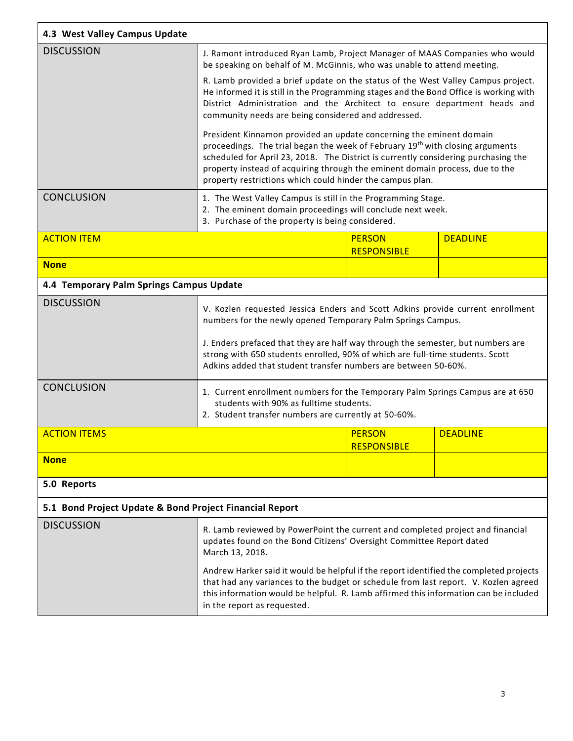| 4.3 West Valley Campus Update                           |                                                                                                                                                                                                                                                                                                                                                                                                     |                                     |                 |  |  |  |
|---------------------------------------------------------|-----------------------------------------------------------------------------------------------------------------------------------------------------------------------------------------------------------------------------------------------------------------------------------------------------------------------------------------------------------------------------------------------------|-------------------------------------|-----------------|--|--|--|
| <b>DISCUSSION</b>                                       | J. Ramont introduced Ryan Lamb, Project Manager of MAAS Companies who would<br>be speaking on behalf of M. McGinnis, who was unable to attend meeting.                                                                                                                                                                                                                                              |                                     |                 |  |  |  |
|                                                         | R. Lamb provided a brief update on the status of the West Valley Campus project.<br>He informed it is still in the Programming stages and the Bond Office is working with<br>District Administration and the Architect to ensure department heads and<br>community needs are being considered and addressed.                                                                                        |                                     |                 |  |  |  |
|                                                         | President Kinnamon provided an update concerning the eminent domain<br>proceedings. The trial began the week of February 19 <sup>th</sup> with closing arguments<br>scheduled for April 23, 2018. The District is currently considering purchasing the<br>property instead of acquiring through the eminent domain process, due to the<br>property restrictions which could hinder the campus plan. |                                     |                 |  |  |  |
| <b>CONCLUSION</b>                                       | 1. The West Valley Campus is still in the Programming Stage.<br>2. The eminent domain proceedings will conclude next week.<br>3. Purchase of the property is being considered.                                                                                                                                                                                                                      |                                     |                 |  |  |  |
| <b>ACTION ITEM</b>                                      |                                                                                                                                                                                                                                                                                                                                                                                                     | <b>PERSON</b><br><b>RESPONSIBLE</b> | <b>DEADLINE</b> |  |  |  |
| <b>None</b>                                             |                                                                                                                                                                                                                                                                                                                                                                                                     |                                     |                 |  |  |  |
| 4.4 Temporary Palm Springs Campus Update                |                                                                                                                                                                                                                                                                                                                                                                                                     |                                     |                 |  |  |  |
| <b>DISCUSSION</b>                                       | V. Kozlen requested Jessica Enders and Scott Adkins provide current enrollment<br>numbers for the newly opened Temporary Palm Springs Campus.<br>J. Enders prefaced that they are half way through the semester, but numbers are<br>strong with 650 students enrolled, 90% of which are full-time students. Scott<br>Adkins added that student transfer numbers are between 50-60%.                 |                                     |                 |  |  |  |
| <b>CONCLUSION</b>                                       | 1. Current enrollment numbers for the Temporary Palm Springs Campus are at 650<br>students with 90% as fulltime students.<br>2. Student transfer numbers are currently at 50-60%.                                                                                                                                                                                                                   |                                     |                 |  |  |  |
| <b>ACTION ITEMS</b>                                     |                                                                                                                                                                                                                                                                                                                                                                                                     | <b>PERSON</b><br><b>RESPONSIBLE</b> | <b>DEADLINE</b> |  |  |  |
| <b>None</b>                                             |                                                                                                                                                                                                                                                                                                                                                                                                     |                                     |                 |  |  |  |
| 5.0 Reports                                             |                                                                                                                                                                                                                                                                                                                                                                                                     |                                     |                 |  |  |  |
| 5.1 Bond Project Update & Bond Project Financial Report |                                                                                                                                                                                                                                                                                                                                                                                                     |                                     |                 |  |  |  |
| <b>DISCUSSION</b>                                       | R. Lamb reviewed by PowerPoint the current and completed project and financial<br>updates found on the Bond Citizens' Oversight Committee Report dated<br>March 13, 2018.                                                                                                                                                                                                                           |                                     |                 |  |  |  |
|                                                         | Andrew Harker said it would be helpful if the report identified the completed projects<br>that had any variances to the budget or schedule from last report. V. Kozlen agreed<br>this information would be helpful. R. Lamb affirmed this information can be included<br>in the report as requested.                                                                                                |                                     |                 |  |  |  |